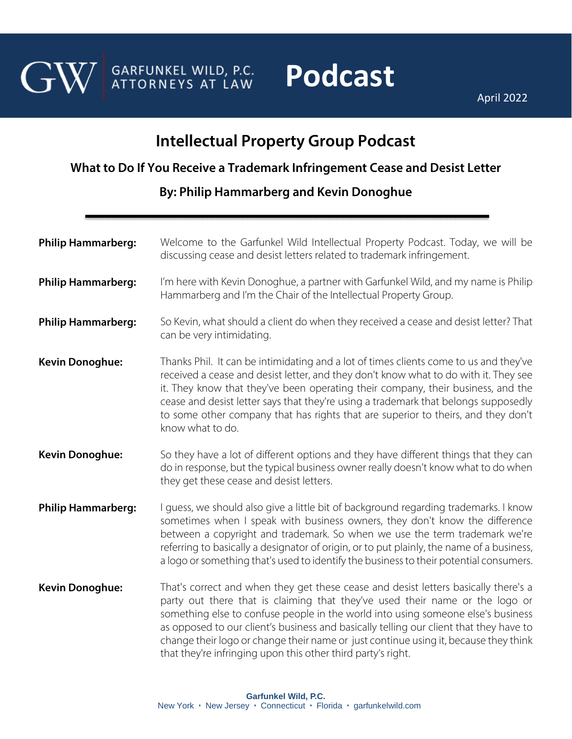

GARFUNKEL WILD, P.C.<br>ATTORNEYS AT LAW

## **Podcast**

April 2022

## **Intellectual Property Group Podcast**

## **What to Do If You Receive a Trademark Infringement Cease and Desist Letter**

## **By: [Philip Hammarberg](https://garfunkelwild.com/attorneys-2/hammarberg-philip/) and Kevin Donoghue**

| <b>Philip Hammarberg:</b> | Welcome to the Garfunkel Wild Intellectual Property Podcast. Today, we will be<br>discussing cease and desist letters related to trademark infringement.                                                                                                                                                                                                                                                                                                                                                  |
|---------------------------|-----------------------------------------------------------------------------------------------------------------------------------------------------------------------------------------------------------------------------------------------------------------------------------------------------------------------------------------------------------------------------------------------------------------------------------------------------------------------------------------------------------|
| <b>Philip Hammarberg:</b> | I'm here with Kevin Donoghue, a partner with Garfunkel Wild, and my name is Philip<br>Hammarberg and I'm the Chair of the Intellectual Property Group.                                                                                                                                                                                                                                                                                                                                                    |
| <b>Philip Hammarberg:</b> | So Kevin, what should a client do when they received a cease and desist letter? That<br>can be very intimidating.                                                                                                                                                                                                                                                                                                                                                                                         |
| <b>Kevin Donoghue:</b>    | Thanks Phil. It can be intimidating and a lot of times clients come to us and they've<br>received a cease and desist letter, and they don't know what to do with it. They see<br>it. They know that they've been operating their company, their business, and the<br>cease and desist letter says that they're using a trademark that belongs supposedly<br>to some other company that has rights that are superior to theirs, and they don't<br>know what to do.                                         |
| <b>Kevin Donoghue:</b>    | So they have a lot of different options and they have different things that they can<br>do in response, but the typical business owner really doesn't know what to do when<br>they get these cease and desist letters.                                                                                                                                                                                                                                                                                    |
| <b>Philip Hammarberg:</b> | I guess, we should also give a little bit of background regarding trademarks. I know<br>sometimes when I speak with business owners, they don't know the difference<br>between a copyright and trademark. So when we use the term trademark we're<br>referring to basically a designator of origin, or to put plainly, the name of a business,<br>a logo or something that's used to identify the business to their potential consumers.                                                                  |
| <b>Kevin Donoghue:</b>    | That's correct and when they get these cease and desist letters basically there's a<br>party out there that is claiming that they've used their name or the logo or<br>something else to confuse people in the world into using someone else's business<br>as opposed to our client's business and basically telling our client that they have to<br>change their logo or change their name or just continue using it, because they think<br>that they're infringing upon this other third party's right. |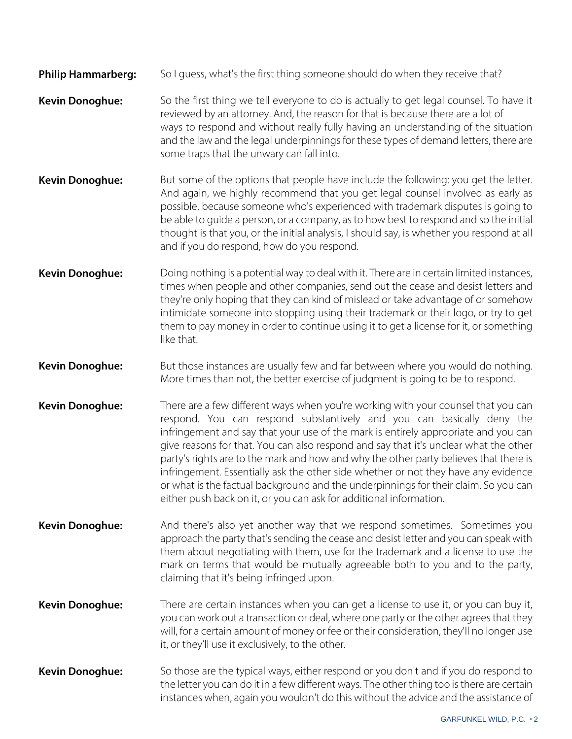- **Philip Hammarberg:** So I guess, what's the first thing someone should do when they receive that?
- **Kevin Donoghue:** So the first thing we tell everyone to do is actually to get legal counsel. To have it reviewed by an attorney. And, the reason for that is because there are a lot of ways to respond and without really fully having an understanding of the situation and the law and the legal underpinnings for these types of demand letters, there are some traps that the unwary can fall into.
- **Kevin Donoghue:** But some of the options that people have include the following: you get the letter. And again, we highly recommend that you get legal counsel involved as early as possible, because someone who's experienced with trademark disputes is going to be able to guide a person, or a company, as to how best to respond and so the initial thought is that you, or the initial analysis, I should say, is whether you respond at all and if you do respond, how do you respond.
- **Kevin Donoghue:** Doing nothing is a potential way to deal with it. There are in certain limited instances, times when people and other companies, send out the cease and desist letters and they're only hoping that they can kind of mislead or take advantage of or somehow intimidate someone into stopping using their trademark or their logo, or try to get them to pay money in order to continue using it to get a license for it, or something like that.
- **Kevin Donoghue:** But those instances are usually few and far between where you would do nothing. More times than not, the better exercise of judgment is going to be to respond.
- **Kevin Donoghue:** There are a few different ways when you're working with your counsel that you can respond. You can respond substantively and you can basically deny the infringement and say that your use of the mark is entirely appropriate and you can give reasons for that. You can also respond and say that it's unclear what the other party's rights are to the mark and how and why the other party believes that there is infringement. Essentially ask the other side whether or not they have any evidence or what is the factual background and the underpinnings for their claim. So you can either push back on it, or you can ask for additional information.
- **Kevin Donoghue:** And there's also yet another way that we respond sometimes. Sometimes you approach the party that's sending the cease and desist letter and you can speak with them about negotiating with them, use for the trademark and a license to use the mark on terms that would be mutually agreeable both to you and to the party, claiming that it's being infringed upon.
- **Kevin Donoghue:** There are certain instances when you can get a license to use it, or you can buy it, you can work out a transaction or deal, where one party or the other agrees that they will, for a certain amount of money or fee or their consideration, they'll no longer use it, or they'll use it exclusively, to the other.
- **Kevin Donoghue:** So those are the typical ways, either respond or you don't and if you do respond to the letter you can do it in a few different ways. The other thing too is there are certain instances when, again you wouldn't do this without the advice and the assistance of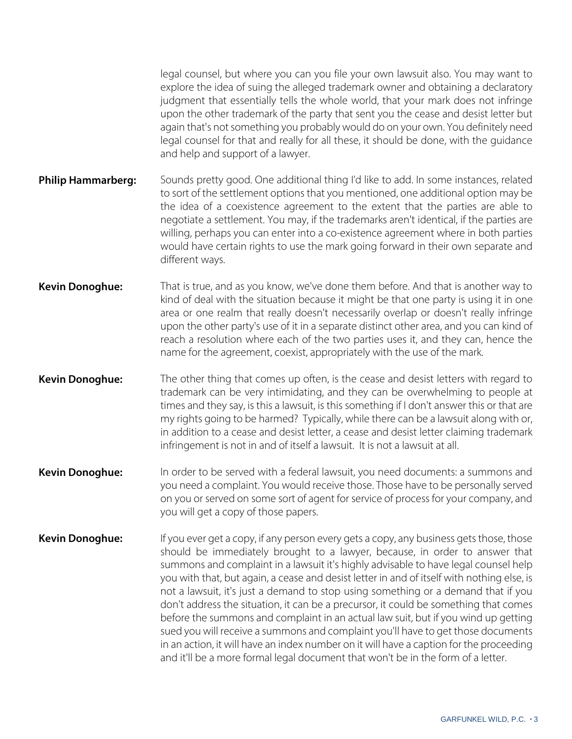legal counsel, but where you can you file your own lawsuit also. You may want to explore the idea of suing the alleged trademark owner and obtaining a declaratory judgment that essentially tells the whole world, that your mark does not infringe upon the other trademark of the party that sent you the cease and desist letter but again that's not something you probably would do on your own. You definitely need legal counsel for that and really for all these, it should be done, with the guidance and help and support of a lawyer.

- **Philip Hammarberg:** Sounds pretty good. One additional thing I'd like to add. In some instances, related to sort of the settlement options that you mentioned, one additional option may be the idea of a coexistence agreement to the extent that the parties are able to negotiate a settlement. You may, if the trademarks aren't identical, if the parties are willing, perhaps you can enter into a co-existence agreement where in both parties would have certain rights to use the mark going forward in their own separate and different ways.
- **Kevin Donoghue:** That is true, and as you know, we've done them before. And that is another way to kind of deal with the situation because it might be that one party is using it in one area or one realm that really doesn't necessarily overlap or doesn't really infringe upon the other party's use of it in a separate distinct other area, and you can kind of reach a resolution where each of the two parties uses it, and they can, hence the name for the agreement, coexist, appropriately with the use of the mark.
- **Kevin Donoghue:** The other thing that comes up often, is the cease and desist letters with regard to trademark can be very intimidating, and they can be overwhelming to people at times and they say, is this a lawsuit, is this something if I don't answer this or that are my rights going to be harmed? Typically, while there can be a lawsuit along with or, in addition to a cease and desist letter, a cease and desist letter claiming trademark infringement is not in and of itself a lawsuit. It is not a lawsuit at all.
- **Kevin Donoghue:** In order to be served with a federal lawsuit, you need documents: a summons and you need a complaint. You would receive those. Those have to be personally served on you or served on some sort of agent for service of process for your company, and you will get a copy of those papers.
- **Kevin Donoghue:** If you ever get a copy, if any person every gets a copy, any business gets those, those should be immediately brought to a lawyer, because, in order to answer that summons and complaint in a lawsuit it's highly advisable to have legal counsel help you with that, but again, a cease and desist letter in and of itself with nothing else, is not a lawsuit, it's just a demand to stop using something or a demand that if you don't address the situation, it can be a precursor, it could be something that comes before the summons and complaint in an actual law suit, but if you wind up getting sued you will receive a summons and complaint you'll have to get those documents in an action, it will have an index number on it will have a caption for the proceeding and it'll be a more formal legal document that won't be in the form of a letter.